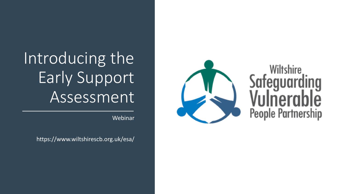# Introducing the Early Support Assessment

Webinar

https://www.wiltshirescb.org.uk/esa/



# **Wiltshire** Safeguarding **People Partnership**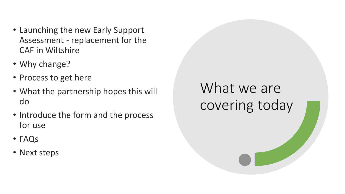- Launching the new Early Support Assessment - replacement for the CAF in Wiltshire
- Why change?
- Process to get here
- What the partnership hopes this will do
- Introduce the form and the process for use
- FAQs
- Next steps

### What we are covering today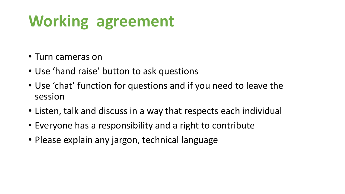# **Working agreement**

- Turn cameras on
- Use 'hand raise' button to ask questions
- Use 'chat' function for questions and if you need to leave the session
- Listen, talk and discuss in a way that respects each individual
- Everyone has a responsibility and a right to contribute
- Please explain any jargon, technical language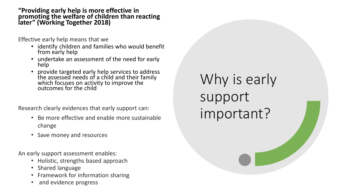**"Providing early help is more effective in promoting the welfare of children than reacting later" (Working Together 2018)**

Effective early help means that we

- identify children and families who would benefit from early help
- undertake an assessment of the need for early help
- provide targeted early help services to address the assessed needs of a child and their family which focuses on activity to improve the outcomes for the child

Research clearly evidences that early support can:

- Be more effective and enable more sustainable change
- Save money and resources

An early support assessment enables:

- Holistic, strengths based approach
- Shared language
- Framework for information sharing
- and evidence progress

Why is early support important?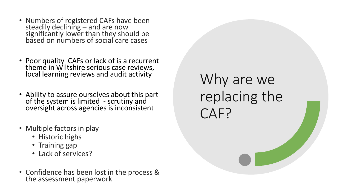- Numbers of registered CAFs have been steadily declining – and are now significantly lower than they should be based on numbers of social care cases
- Poor quality CAFs or lack of is a recurrent theme in Wiltshire serious case reviews, local learning reviews and audit activity
- Ability to assure ourselves about this part of the system is limited - scrutiny and oversight across agencies is inconsistent
- Multiple factors in play
	- Historic highs
	- Training gap
	- Lack of services?
- Confidence has been lost in the process & the assessment paperwork

Why are we replacing the CAF?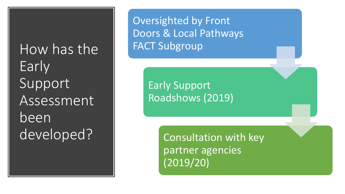How has the Early Support Assessment been developed?

Oversighted by Front Doors & Local Pathways FACT Subgroup

> Early Support Roadshows (2019)

> > Consultation with key partner agencies (2019/20)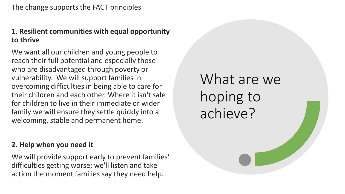#### **1. Resilient communities with equal opportunity to thrive**

We want all our children and young people to reach their full potential and especially those who are disadvantaged through poverty or vulnerability. We will support families in overcoming difficulties in being able to care for their children and each other. Where it isn't safe for children to live in their immediate or wider family we will ensure they settle quickly into a welcoming, stable and permanent home.

#### **2. Help when you need it**

We will provide support early to prevent families' difficulties getting worse; we'll listen and take action the moment families say they need help.

What are we hoping to achieve?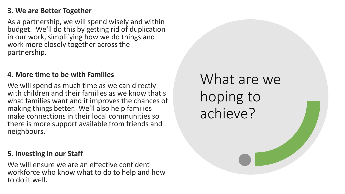#### **3. We are Better Together**

As a partnership, we will spend wisely and within budget. We'll do this by getting rid of duplication in our work, simplifying how we do things and work more closely together across the partnership.

#### **4. More time to be with Families**

We will spend as much time as we can directly with children and their families as we know that's what families want and it improves the chances of making things better. We'll also help families make connections in their local communities so there is more support available from friends and neighbours.

#### **5. Investing in our Staff**

We will ensure we are an effective confident workforce who know what to do to help and how to do it well.

What are we hoping to achieve?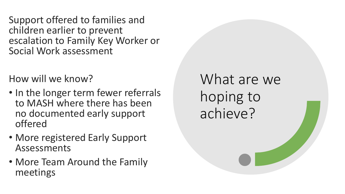Support offered to families and children earlier to prevent escalation to Family Key Worker or Social Work assessment

How will we know?

- In the longer term fewer referrals to MASH where there has been no documented early support offered
- More registered Early Support Assessments
- More Team Around the Family meetings

What are we hoping to achieve?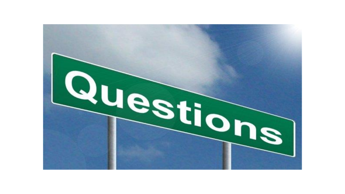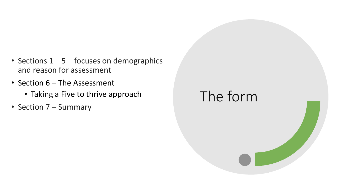- Sections  $1 5$  focuses on demographics and reason for assessment
- Section 6 The Assessment
	- Taking a Five to thrive approach
- Section 7 Summary

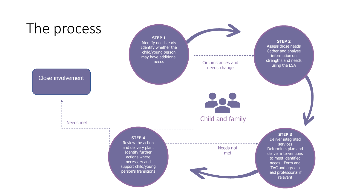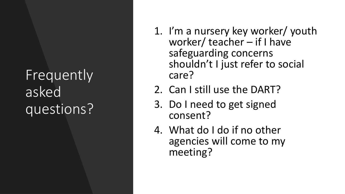### Frequently asked questions?

- 1. I'm a nursery key worker/ youth worker/ teacher – if I have safeguarding concerns shouldn't I just refer to social care?
- 2. Can I still use the DART?
- 3. Do I need to get signed consent?
- 4. What do I do if no other agencies will come to my meeting?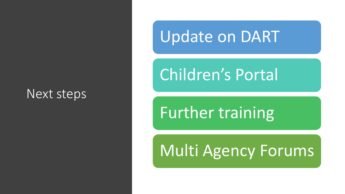### Next steps

### Update on DART

## Children's Portal

# Further training

### Multi Agency Forums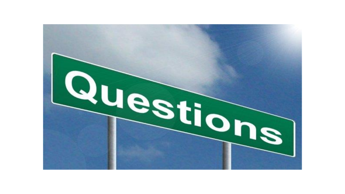